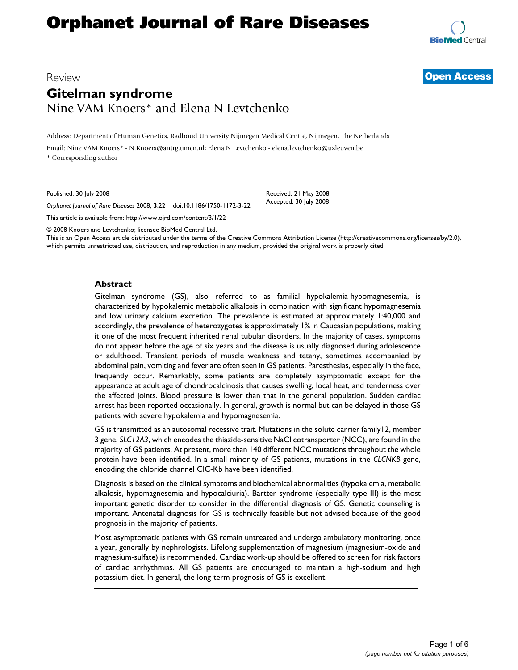# **Orphanet Journal of Rare Diseases**

**[BioMed](http://www.biomedcentral.com/)** Central

# Review **[Open Access](http://www.biomedcentral.com/info/about/charter/) Gitelman syndrome** Nine VAM Knoers\* and Elena N Levtchenko

Address: Department of Human Genetics, Radboud University Nijmegen Medical Centre, Nijmegen, The Netherlands

Email: Nine VAM Knoers\* - N.Knoers@antrg.umcn.nl; Elena N Levtchenko - elena.levtchenko@uzleuven.be \* Corresponding author

Published: 30 July 2008

*Orphanet Journal of Rare Diseases* 2008, **3**:22 doi:10.1186/1750-1172-3-22

[This article is available from: http://www.ojrd.com/content/3/1/22](http://www.ojrd.com/content/3/1/22)

© 2008 Knoers and Levtchenko; licensee BioMed Central Ltd.

This is an Open Access article distributed under the terms of the Creative Commons Attribution License [\(http://creativecommons.org/licenses/by/2.0\)](http://creativecommons.org/licenses/by/2.0), which permits unrestricted use, distribution, and reproduction in any medium, provided the original work is properly cited.

Received: 21 May 2008 Accepted: 30 July 2008

#### **Abstract**

Gitelman syndrome (GS), also referred to as familial hypokalemia-hypomagnesemia, is characterized by hypokalemic metabolic alkalosis in combination with significant hypomagnesemia and low urinary calcium excretion. The prevalence is estimated at approximately 1:40,000 and accordingly, the prevalence of heterozygotes is approximately 1% in Caucasian populations, making it one of the most frequent inherited renal tubular disorders. In the majority of cases, symptoms do not appear before the age of six years and the disease is usually diagnosed during adolescence or adulthood. Transient periods of muscle weakness and tetany, sometimes accompanied by abdominal pain, vomiting and fever are often seen in GS patients. Paresthesias, especially in the face, frequently occur. Remarkably, some patients are completely asymptomatic except for the appearance at adult age of chondrocalcinosis that causes swelling, local heat, and tenderness over the affected joints. Blood pressure is lower than that in the general population. Sudden cardiac arrest has been reported occasionally. In general, growth is normal but can be delayed in those GS patients with severe hypokalemia and hypomagnesemia.

GS is transmitted as an autosomal recessive trait. Mutations in the solute carrier family 12, member 3 gene, *SLC12A3*, which encodes the thiazide-sensitive NaCl cotransporter (NCC), are found in the majority of GS patients. At present, more than 140 different NCC mutations throughout the whole protein have been identified. In a small minority of GS patients, mutations in the *CLCNKB* gene, encoding the chloride channel ClC-Kb have been identified.

Diagnosis is based on the clinical symptoms and biochemical abnormalities (hypokalemia, metabolic alkalosis, hypomagnesemia and hypocalciuria). Bartter syndrome (especially type III) is the most important genetic disorder to consider in the differential diagnosis of GS. Genetic counseling is important. Antenatal diagnosis for GS is technically feasible but not advised because of the good prognosis in the majority of patients.

Most asymptomatic patients with GS remain untreated and undergo ambulatory monitoring, once a year, generally by nephrologists. Lifelong supplementation of magnesium (magnesium-oxide and magnesium-sulfate) is recommended. Cardiac work-up should be offered to screen for risk factors of cardiac arrhythmias. All GS patients are encouraged to maintain a high-sodium and high potassium diet. In general, the long-term prognosis of GS is excellent.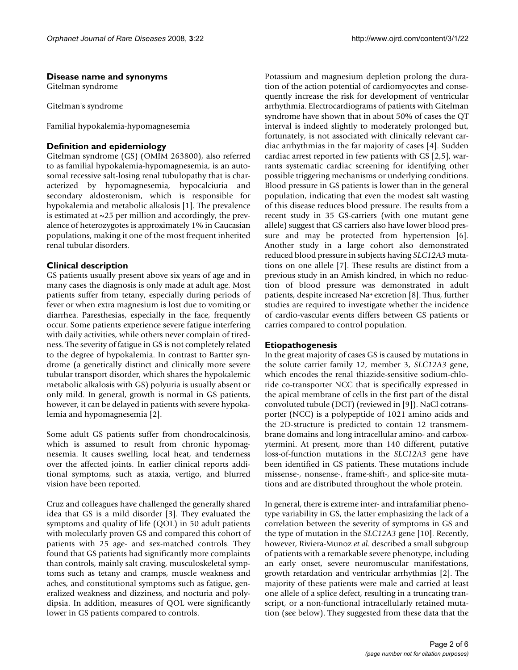# **Disease name and synonyms**

Gitelman syndrome

Gitelman's syndrome

Familial hypokalemia-hypomagnesemia

# **Definition and epidemiology**

Gitelman syndrome (GS) (OMIM 263800), also referred to as familial hypokalemia-hypomagnesemia, is an autosomal recessive salt-losing renal tubulopathy that is characterized by hypomagnesemia, hypocalciuria and secondary aldosteronism, which is responsible for hypokalemia and metabolic alkalosis [1]. The prevalence is estimated at  $\sim$ 25 per million and accordingly, the prevalence of heterozygotes is approximately 1% in Caucasian populations, making it one of the most frequent inherited renal tubular disorders.

# **Clinical description**

GS patients usually present above six years of age and in many cases the diagnosis is only made at adult age. Most patients suffer from tetany, especially during periods of fever or when extra magnesium is lost due to vomiting or diarrhea. Paresthesias, especially in the face, frequently occur. Some patients experience severe fatigue interfering with daily activities, while others never complain of tiredness. The severity of fatigue in GS is not completely related to the degree of hypokalemia. In contrast to Bartter syndrome (a genetically distinct and clinically more severe tubular transport disorder, which shares the hypokalemic metabolic alkalosis with GS) polyuria is usually absent or only mild. In general, growth is normal in GS patients, however, it can be delayed in patients with severe hypokalemia and hypomagnesemia [2].

Some adult GS patients suffer from chondrocalcinosis, which is assumed to result from chronic hypomagnesemia. It causes swelling, local heat, and tenderness over the affected joints. In earlier clinical reports additional symptoms, such as ataxia, vertigo, and blurred vision have been reported.

Cruz and colleagues have challenged the generally shared idea that GS is a mild disorder [3]. They evaluated the symptoms and quality of life (QOL) in 50 adult patients with molecularly proven GS and compared this cohort of patients with 25 age- and sex-matched controls. They found that GS patients had significantly more complaints than controls, mainly salt craving, musculoskeletal symptoms such as tetany and cramps, muscle weakness and aches, and constitutional symptoms such as fatigue, generalized weakness and dizziness, and nocturia and polydipsia. In addition, measures of QOL were significantly lower in GS patients compared to controls.

Potassium and magnesium depletion prolong the duration of the action potential of cardiomyocytes and consequently increase the risk for development of ventricular arrhythmia. Electrocardiograms of patients with Gitelman syndrome have shown that in about 50% of cases the QT interval is indeed slightly to moderately prolonged but, fortunately, is not associated with clinically relevant cardiac arrhythmias in the far majority of cases [4]. Sudden cardiac arrest reported in few patients with GS [2,5], warrants systematic cardiac screening for identifying other possible triggering mechanisms or underlying conditions. Blood pressure in GS patients is lower than in the general population, indicating that even the modest salt wasting of this disease reduces blood pressure. The results from a recent study in 35 GS-carriers (with one mutant gene allele) suggest that GS carriers also have lower blood pressure and may be protected from hypertension [6]. Another study in a large cohort also demonstrated reduced blood pressure in subjects having *SLC12A3* mutations on one allele [7]. These results are distinct from a previous study in an Amish kindred, in which no reduction of blood pressure was demonstrated in adult patients, despite increased Na+ excretion [8]. Thus, further studies are required to investigate whether the incidence of cardio-vascular events differs between GS patients or carries compared to control population.

# **Etiopathogenesis**

In the great majority of cases GS is caused by mutations in the solute carrier family 12, member 3, *SLC12A3* gene, which encodes the renal thiazide-sensitive sodium-chloride co-transporter NCC that is specifically expressed in the apical membrane of cells in the first part of the distal convoluted tubule (DCT) (reviewed in [9]). NaCl cotransporter (NCC) is a polypeptide of 1021 amino acids and the 2D-structure is predicted to contain 12 transmembrane domains and long intracellular amino- and carboxytermini. At present, more than 140 different, putative loss-of-function mutations in the *SLC12A3* gene have been identified in GS patients. These mutations include missense-, nonsense-, frame-shift-, and splice-site mutations and are distributed throughout the whole protein.

In general, there is extreme inter- and intrafamiliar phenotype variability in GS, the latter emphasizing the lack of a correlation between the severity of symptoms in GS and the type of mutation in the *SLC12A3* gene [10]. Recently, however, Riviera-Munoz *et al*. described a small subgroup of patients with a remarkable severe phenotype, including an early onset, severe neuromuscular manifestations, growth retardation and ventricular arrhythmias [2]. The majority of these patients were male and carried at least one allele of a splice defect, resulting in a truncating transcript, or a non-functional intracellularly retained mutation (see below). They suggested from these data that the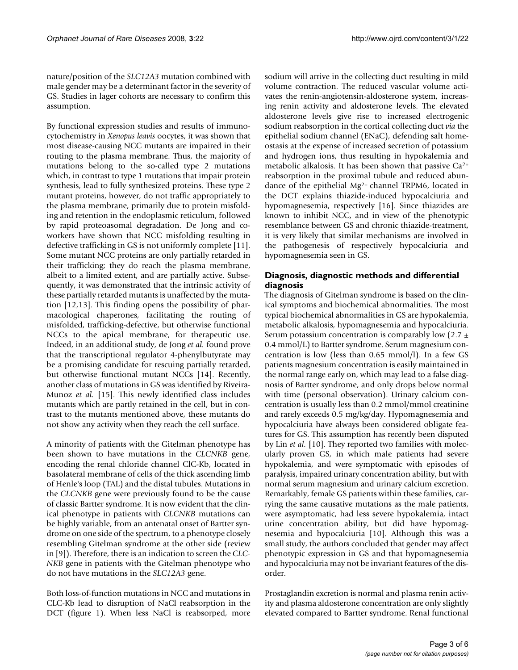nature/position of the *SLC12A3* mutation combined with male gender may be a determinant factor in the severity of GS. Studies in lager cohorts are necessary to confirm this assumption.

By functional expression studies and results of immunocytochemistry in *Xenopus leavis* oocytes, it was shown that most disease-causing NCC mutants are impaired in their routing to the plasma membrane. Thus, the majority of mutations belong to the so-called type 2 mutations which, in contrast to type 1 mutations that impair protein synthesis, lead to fully synthesized proteins. These type 2 mutant proteins, however, do not traffic appropriately to the plasma membrane, primarily due to protein misfolding and retention in the endoplasmic reticulum, followed by rapid proteoasomal degradation. De Jong and coworkers have shown that NCC misfolding resulting in defective trafficking in GS is not uniformly complete [11]. Some mutant NCC proteins are only partially retarded in their trafficking; they do reach the plasma membrane, albeit to a limited extent, and are partially active. Subsequently, it was demonstrated that the intrinsic activity of these partially retarded mutants is unaffected by the mutation [12,13]. This finding opens the possibility of pharmacological chaperones, facilitating the routing of misfolded, trafficking-defective, but otherwise functional NCCs to the apical membrane, for therapeutic use. Indeed, in an additional study, de Jong *et al.* found prove that the transcriptional regulator 4-phenylbutyrate may be a promising candidate for rescuing partially retarded, but otherwise functional mutant NCCs [14]. Recently, another class of mutations in GS was identified by Riveira-Munoz *et al.* [15]. This newly identified class includes mutants which are partly retained in the cell, but in contrast to the mutants mentioned above, these mutants do not show any activity when they reach the cell surface.

A minority of patients with the Gitelman phenotype has been shown to have mutations in the *CLCNKB* gene, encoding the renal chloride channel ClC-Kb, located in basolateral membrane of cells of the thick ascending limb of Henle's loop (TAL) and the distal tubules. Mutations in the *CLCNKB* gene were previously found to be the cause of classic Bartter syndrome. It is now evident that the clinical phenotype in patients with *CLCNKB* mutations can be highly variable, from an antenatal onset of Bartter syndrome on one side of the spectrum, to a phenotype closely resembling Gitelman syndrome at the other side (review in [9]). Therefore, there is an indication to screen the *CLC-NKB* gene in patients with the Gitelman phenotype who do not have mutations in the *SLC12A3* gene.

Both loss-of-function mutations in NCC and mutations in CLC-Kb lead to disruption of NaCl reabsorption in the DCT (figure 1). When less NaCl is reabsorped, more

sodium will arrive in the collecting duct resulting in mild volume contraction. The reduced vascular volume activates the renin-angiotensin-aldosterone system, increasing renin activity and aldosterone levels. The elevated aldosterone levels give rise to increased electrogenic sodium reabsorption in the cortical collecting duct *via* the epithelial sodium channel (ENaC), defending salt homeostasis at the expense of increased secretion of potassium and hydrogen ions, thus resulting in hypokalemia and metabolic alkalosis. It has been shown that passive Ca2+ reabsorption in the proximal tubule and reduced abundance of the epithelial Mg2+ channel TRPM6, located in the DCT explains thiazide-induced hypocalciuria and hypomagnesemia, respectively [16]. Since thiazides are known to inhibit NCC, and in view of the phenotypic resemblance between GS and chronic thiazide-treatment, it is very likely that similar mechanisms are involved in the pathogenesis of respectively hypocalciuria and hypomagnesemia seen in GS.

# **Diagnosis, diagnostic methods and differential diagnosis**

The diagnosis of Gitelman syndrome is based on the clinical symptoms and biochemical abnormalities. The most typical biochemical abnormalities in GS are hypokalemia, metabolic alkalosis, hypomagnesemia and hypocalciuria. Serum potassium concentration is comparably low (2.7  $\pm$ 0.4 mmol/L) to Bartter syndrome. Serum magnesium concentration is low (less than 0.65 mmol/l). In a few GS patients magnesium concentration is easily maintained in the normal range early on, which may lead to a false diagnosis of Bartter syndrome, and only drops below normal with time (personal observation). Urinary calcium concentration is usually less than 0.2 mmol/mmol creatinine and rarely exceeds 0.5 mg/kg/day. Hypomagnesemia and hypocalciuria have always been considered obligate features for GS. This assumption has recently been disputed by Lin *et al.* [10]. They reported two families with molecularly proven GS, in which male patients had severe hypokalemia, and were symptomatic with episodes of paralysis, impaired urinary concentration ability, but with normal serum magnesium and urinary calcium excretion. Remarkably, female GS patients within these families, carrying the same causative mutations as the male patients, were asymptomatic, had less severe hypokalemia, intact urine concentration ability, but did have hypomagnesemia and hypocalciuria [10]. Although this was a small study, the authors concluded that gender may affect phenotypic expression in GS and that hypomagnesemia and hypocalciuria may not be invariant features of the disorder.

Prostaglandin excretion is normal and plasma renin activity and plasma aldosterone concentration are only slightly elevated compared to Bartter syndrome. Renal functional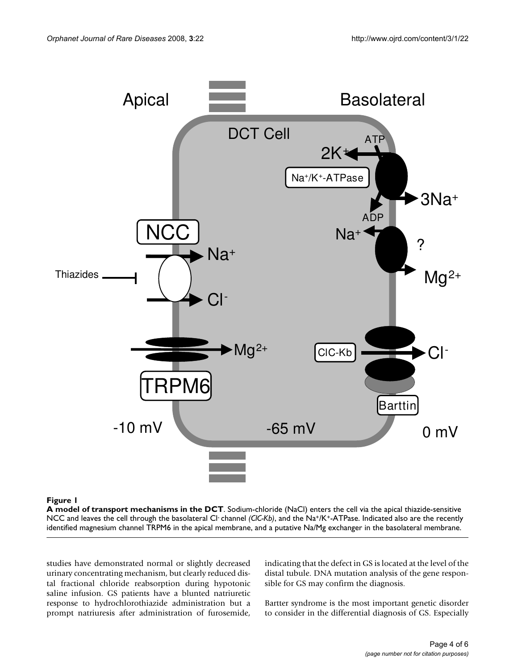

#### **Figure 1**

**A model of transport mechanisms in the DCT**. Sodium-chloride (NaCl) enters the cell via the apical thiazide-sensitive NCC and leaves the cell through the basolateral Cl<sup>-</sup> channel *(CIC-Kb)*, and the Na<sup>+</sup>/K<sup>+</sup>-ATPase. Indicated also are the recently identified magnesium channel TRPM6 in the apical membrane, and a putative Na/Mg exchanger in the basolateral membrane.

studies have demonstrated normal or slightly decreased urinary concentrating mechanism, but clearly reduced distal fractional chloride reabsorption during hypotonic saline infusion. GS patients have a blunted natriuretic response to hydrochlorothiazide administration but a prompt natriuresis after administration of furosemide, indicating that the defect in GS is located at the level of the distal tubule. DNA mutation analysis of the gene responsible for GS may confirm the diagnosis.

Bartter syndrome is the most important genetic disorder to consider in the differential diagnosis of GS. Especially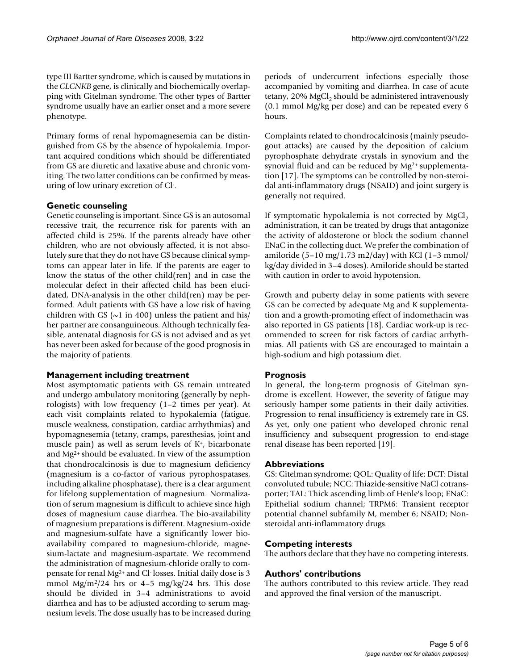type III Bartter syndrome, which is caused by mutations in the *CLCNKB* gene, is clinically and biochemically overlapping with Gitelman syndrome. The other types of Bartter syndrome usually have an earlier onset and a more severe phenotype.

Primary forms of renal hypomagnesemia can be distinguished from GS by the absence of hypokalemia. Important acquired conditions which should be differentiated from GS are diuretic and laxative abuse and chronic vomiting. The two latter conditions can be confirmed by measuring of low urinary excretion of Cl- .

### **Genetic counseling**

Genetic counseling is important. Since GS is an autosomal recessive trait, the recurrence risk for parents with an affected child is 25%. If the parents already have other children, who are not obviously affected, it is not absolutely sure that they do not have GS because clinical symptoms can appear later in life. If the parents are eager to know the status of the other child(ren) and in case the molecular defect in their affected child has been elucidated, DNA-analysis in the other child(ren) may be performed. Adult patients with GS have a low risk of having children with GS ( $\sim$ 1 in 400) unless the patient and his/ her partner are consanguineous. Although technically feasible, antenatal diagnosis for GS is not advised and as yet has never been asked for because of the good prognosis in the majority of patients.

# **Management including treatment**

Most asymptomatic patients with GS remain untreated and undergo ambulatory monitoring (generally by nephrologists) with low frequency (1–2 times per year). At each visit complaints related to hypokalemia (fatigue, muscle weakness, constipation, cardiac arrhythmias) and hypomagnesemia (tetany, cramps, paresthesias, joint and muscle pain) as well as serum levels of  $K<sup>+</sup>$ , bicarbonate and Mg2+ should be evaluated. In view of the assumption that chondrocalcinosis is due to magnesium deficiency (magnesium is a co-factor of various pyrophospatases, including alkaline phosphatase), there is a clear argument for lifelong supplementation of magnesium. Normalization of serum magnesium is difficult to achieve since high doses of magnesium cause diarrhea. The bio-availability of magnesium preparations is different. Magnesium-oxide and magnesium-sulfate have a significantly lower bioavailability compared to magnesium-chloride, magnesium-lactate and magnesium-aspartate. We recommend the administration of magnesium-chloride orally to compensate for renal Mg2+ and Cl- losses. Initial daily dose is 3 mmol Mg/m2/24 hrs or 4–5 mg/kg/24 hrs. This dose should be divided in 3–4 administrations to avoid diarrhea and has to be adjusted according to serum magnesium levels. The dose usually has to be increased during periods of undercurrent infections especially those accompanied by vomiting and diarrhea. In case of acute tetany,  $20\%$  MgCl<sub>2</sub> should be administered intravenously (0.1 mmol Mg/kg per dose) and can be repeated every 6 hours.

Complaints related to chondrocalcinosis (mainly pseudogout attacks) are caused by the deposition of calcium pyrophosphate dehydrate crystals in synovium and the synovial fluid and can be reduced by Mg2+ supplementation [17]. The symptoms can be controlled by non-steroidal anti-inflammatory drugs (NSAID) and joint surgery is generally not required.

If symptomatic hypokalemia is not corrected by  $MgCl<sub>2</sub>$ administration, it can be treated by drugs that antagonize the activity of aldosterone or block the sodium channel ENaC in the collecting duct. We prefer the combination of amiloride  $(5-10 \text{ mg}/1.73 \text{ m}/\text{day})$  with KCl  $(1-3 \text{ mm})$ kg/day divided in 3–4 doses). Amiloride should be started with caution in order to avoid hypotension.

Growth and puberty delay in some patients with severe GS can be corrected by adequate Mg and K supplementation and a growth-promoting effect of indomethacin was also reported in GS patients [18]. Cardiac work-up is recommended to screen for risk factors of cardiac arrhythmias. All patients with GS are encouraged to maintain a high-sodium and high potassium diet.

# **Prognosis**

In general, the long-term prognosis of Gitelman syndrome is excellent. However, the severity of fatigue may seriously hamper some patients in their daily activities. Progression to renal insufficiency is extremely rare in GS. As yet, only one patient who developed chronic renal insufficiency and subsequent progression to end-stage renal disease has been reported [19].

#### **Abbreviations**

GS: Gitelman syndrome; QOL: Quality of life; DCT: Distal convoluted tubule; NCC: Thiazide-sensitive NaCl cotransporter; TAL: Thick ascending limb of Henle's loop; ENaC: Epithelial sodium channel; TRPM6: Transient receptor potential channel subfamily M, member 6; NSAID; Nonsteroidal anti-inflammatory drugs.

# **Competing interests**

The authors declare that they have no competing interests.

#### **Authors' contributions**

The authors contributed to this review article. They read and approved the final version of the manuscript.